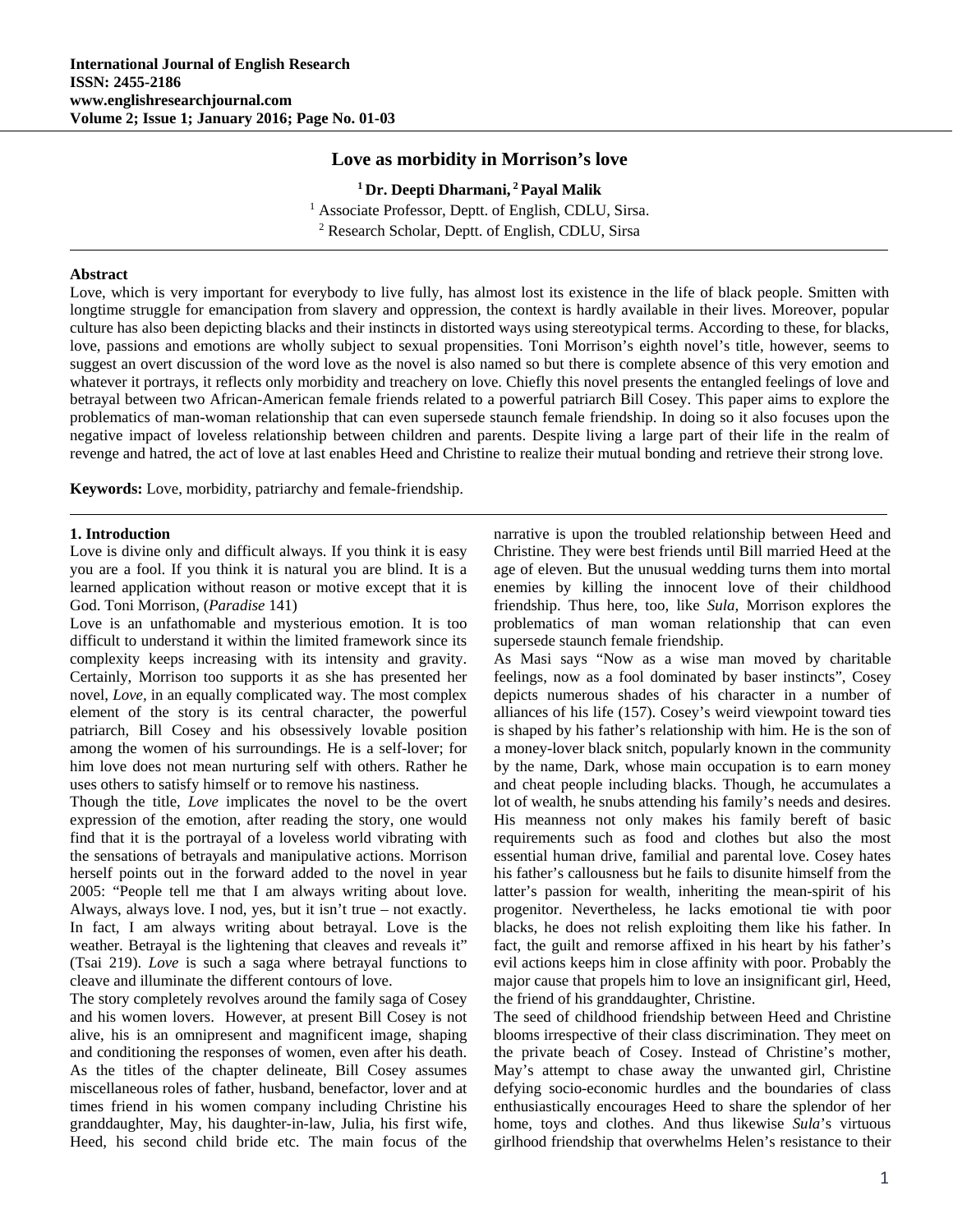## **Love as morbidity in Morrison's love**

**1 Dr. Deepti Dharmani, 2 Payal Malik** <sup>1</sup> Associate Professor, Deptt. of English, CDLU, Sirsa.<br><sup>2</sup> Research Scholar, Deptt. of English, CDLU, Sirsa. <sup>2</sup> Research Scholar, Deptt. of English, CDLU, Sirsa

## **Abstract**

Love, which is very important for everybody to live fully, has almost lost its existence in the life of black people. Smitten with longtime struggle for emancipation from slavery and oppression, the context is hardly available in their lives. Moreover, popular culture has also been depicting blacks and their instincts in distorted ways using stereotypical terms. According to these, for blacks, love, passions and emotions are wholly subject to sexual propensities. Toni Morrison's eighth novel's title, however, seems to suggest an overt discussion of the word love as the novel is also named so but there is complete absence of this very emotion and whatever it portrays, it reflects only morbidity and treachery on love. Chiefly this novel presents the entangled feelings of love and betrayal between two African-American female friends related to a powerful patriarch Bill Cosey. This paper aims to explore the problematics of man-woman relationship that can even supersede staunch female friendship. In doing so it also focuses upon the negative impact of loveless relationship between children and parents. Despite living a large part of their life in the realm of revenge and hatred, the act of love at last enables Heed and Christine to realize their mutual bonding and retrieve their strong love.

**Keywords:** Love, morbidity, patriarchy and female-friendship.

## **1. Introduction**

Love is divine only and difficult always. If you think it is easy you are a fool. If you think it is natural you are blind. It is a learned application without reason or motive except that it is God. Toni Morrison, (*Paradise* 141)

Love is an unfathomable and mysterious emotion. It is too difficult to understand it within the limited framework since its complexity keeps increasing with its intensity and gravity. Certainly, Morrison too supports it as she has presented her novel, *Love,* in an equally complicated way. The most complex element of the story is its central character, the powerful patriarch, Bill Cosey and his obsessively lovable position among the women of his surroundings. He is a self-lover; for him love does not mean nurturing self with others. Rather he uses others to satisfy himself or to remove his nastiness.

Though the title, *Love* implicates the novel to be the overt expression of the emotion, after reading the story, one would find that it is the portrayal of a loveless world vibrating with the sensations of betrayals and manipulative actions. Morrison herself points out in the forward added to the novel in year 2005: "People tell me that I am always writing about love. Always, always love. I nod, yes, but it isn't true – not exactly. In fact, I am always writing about betrayal. Love is the weather. Betrayal is the lightening that cleaves and reveals it" (Tsai 219). *Love* is such a saga where betrayal functions to cleave and illuminate the different contours of love.

The story completely revolves around the family saga of Cosey and his women lovers. However, at present Bill Cosey is not alive, his is an omnipresent and magnificent image, shaping and conditioning the responses of women, even after his death. As the titles of the chapter delineate, Bill Cosey assumes miscellaneous roles of father, husband, benefactor, lover and at times friend in his women company including Christine his granddaughter, May, his daughter-in-law, Julia, his first wife, Heed, his second child bride etc. The main focus of the

narrative is upon the troubled relationship between Heed and Christine. They were best friends until Bill married Heed at the age of eleven. But the unusual wedding turns them into mortal enemies by killing the innocent love of their childhood friendship. Thus here, too, like *Sula,* Morrison explores the problematics of man woman relationship that can even supersede staunch female friendship.

As Masi says "Now as a wise man moved by charitable feelings, now as a fool dominated by baser instincts", Cosey depicts numerous shades of his character in a number of alliances of his life (157). Cosey's weird viewpoint toward ties is shaped by his father's relationship with him. He is the son of a money-lover black snitch, popularly known in the community by the name, Dark, whose main occupation is to earn money and cheat people including blacks. Though, he accumulates a lot of wealth, he snubs attending his family's needs and desires. His meanness not only makes his family bereft of basic requirements such as food and clothes but also the most essential human drive, familial and parental love. Cosey hates his father's callousness but he fails to disunite himself from the latter's passion for wealth, inheriting the mean-spirit of his progenitor. Nevertheless, he lacks emotional tie with poor blacks, he does not relish exploiting them like his father. In fact, the guilt and remorse affixed in his heart by his father's evil actions keeps him in close affinity with poor. Probably the major cause that propels him to love an insignificant girl, Heed, the friend of his granddaughter, Christine.

The seed of childhood friendship between Heed and Christine blooms irrespective of their class discrimination. They meet on the private beach of Cosey. Instead of Christine's mother, May's attempt to chase away the unwanted girl, Christine defying socio-economic hurdles and the boundaries of class enthusiastically encourages Heed to share the splendor of her home, toys and clothes. And thus likewise *Sula*'s virtuous girlhood friendship that overwhelms Helen's resistance to their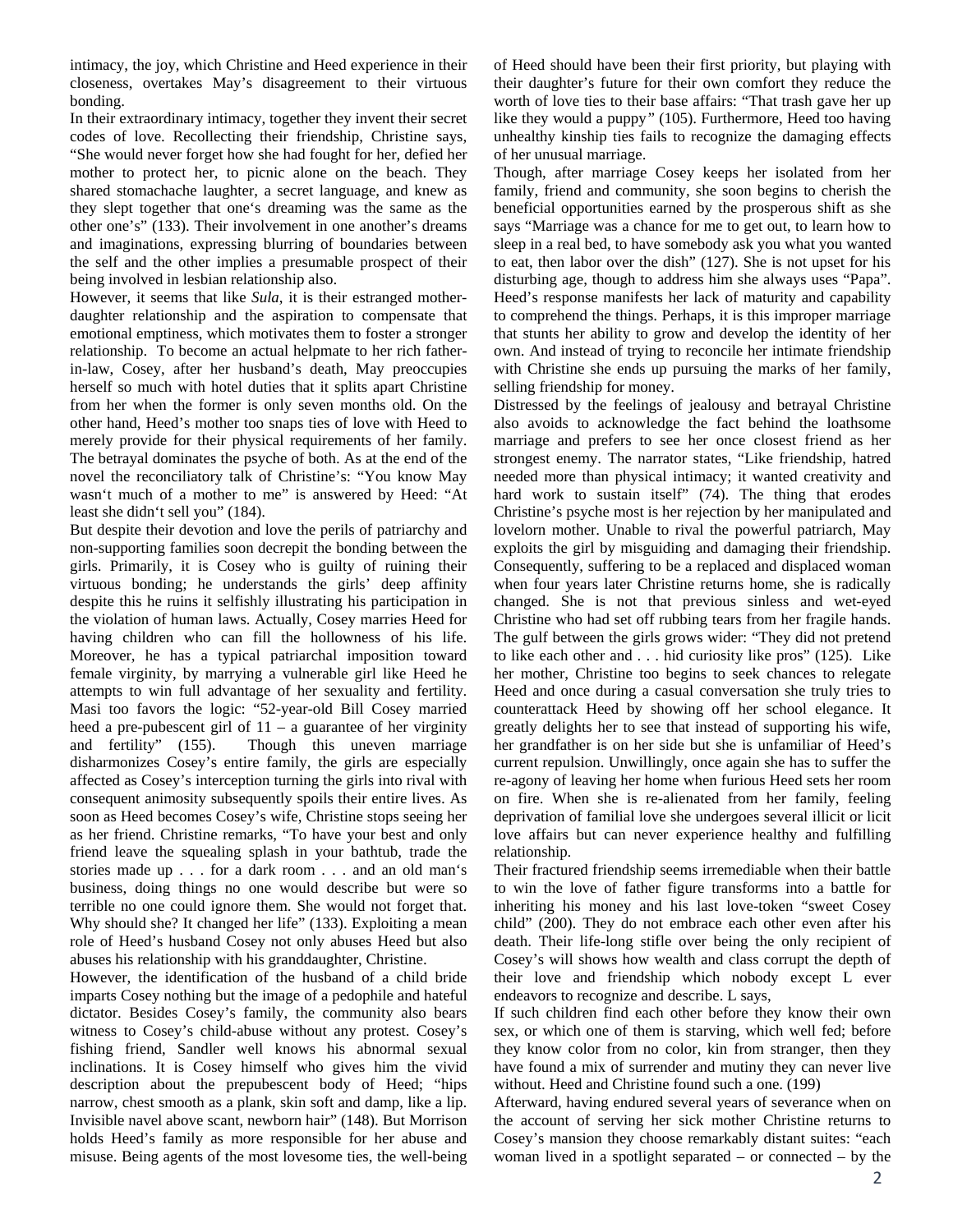intimacy, the joy, which Christine and Heed experience in their closeness, overtakes May's disagreement to their virtuous bonding.

In their extraordinary intimacy, together they invent their secret codes of love. Recollecting their friendship, Christine says, "She would never forget how she had fought for her, defied her mother to protect her, to picnic alone on the beach. They shared stomachache laughter, a secret language, and knew as they slept together that one's dreaming was the same as the other one's" (133). Their involvement in one another's dreams and imaginations, expressing blurring of boundaries between the self and the other implies a presumable prospect of their being involved in lesbian relationship also.

However, it seems that like *Sula*, it is their estranged motherdaughter relationship and the aspiration to compensate that emotional emptiness, which motivates them to foster a stronger relationship. To become an actual helpmate to her rich fatherin-law, Cosey, after her husband's death, May preoccupies herself so much with hotel duties that it splits apart Christine from her when the former is only seven months old. On the other hand, Heed's mother too snaps ties of love with Heed to merely provide for their physical requirements of her family. The betrayal dominates the psyche of both. As at the end of the novel the reconciliatory talk of Christine's: "You know May wasn't much of a mother to me" is answered by Heed: "At least she didn't sell you" (184).

But despite their devotion and love the perils of patriarchy and non-supporting families soon decrepit the bonding between the girls. Primarily, it is Cosey who is guilty of ruining their virtuous bonding; he understands the girls' deep affinity despite this he ruins it selfishly illustrating his participation in the violation of human laws. Actually, Cosey marries Heed for having children who can fill the hollowness of his life. Moreover, he has a typical patriarchal imposition toward female virginity, by marrying a vulnerable girl like Heed he attempts to win full advantage of her sexuality and fertility. Masi too favors the logic: "52-year-old Bill Cosey married heed a pre-pubescent girl of 11 – a guarantee of her virginity and fertility" (155). Though this uneven marriage disharmonizes Cosey's entire family, the girls are especially affected as Cosey's interception turning the girls into rival with consequent animosity subsequently spoils their entire lives. As soon as Heed becomes Cosey's wife, Christine stops seeing her as her friend. Christine remarks, "To have your best and only friend leave the squealing splash in your bathtub, trade the stories made up . . . for a dark room . . . and an old man's business, doing things no one would describe but were so terrible no one could ignore them. She would not forget that. Why should she? It changed her life" (133). Exploiting a mean role of Heed's husband Cosey not only abuses Heed but also abuses his relationship with his granddaughter, Christine.

However, the identification of the husband of a child bride imparts Cosey nothing but the image of a pedophile and hateful dictator. Besides Cosey's family, the community also bears witness to Cosey's child-abuse without any protest. Cosey's fishing friend, Sandler well knows his abnormal sexual inclinations. It is Cosey himself who gives him the vivid description about the prepubescent body of Heed; "hips narrow, chest smooth as a plank, skin soft and damp, like a lip. Invisible navel above scant, newborn hair" (148). But Morrison holds Heed's family as more responsible for her abuse and misuse. Being agents of the most lovesome ties, the well-being of Heed should have been their first priority, but playing with their daughter's future for their own comfort they reduce the worth of love ties to their base affairs: "That trash gave her up like they would a puppy*"* (105). Furthermore, Heed too having unhealthy kinship ties fails to recognize the damaging effects of her unusual marriage.

Though, after marriage Cosey keeps her isolated from her family, friend and community, she soon begins to cherish the beneficial opportunities earned by the prosperous shift as she says "Marriage was a chance for me to get out, to learn how to sleep in a real bed, to have somebody ask you what you wanted to eat, then labor over the dish" (127). She is not upset for his disturbing age, though to address him she always uses "Papa". Heed's response manifests her lack of maturity and capability to comprehend the things. Perhaps, it is this improper marriage that stunts her ability to grow and develop the identity of her own. And instead of trying to reconcile her intimate friendship with Christine she ends up pursuing the marks of her family, selling friendship for money.

Distressed by the feelings of jealousy and betrayal Christine also avoids to acknowledge the fact behind the loathsome marriage and prefers to see her once closest friend as her strongest enemy. The narrator states, "Like friendship, hatred needed more than physical intimacy; it wanted creativity and hard work to sustain itself" (74). The thing that erodes Christine's psyche most is her rejection by her manipulated and lovelorn mother. Unable to rival the powerful patriarch, May exploits the girl by misguiding and damaging their friendship. Consequently, suffering to be a replaced and displaced woman when four years later Christine returns home, she is radically changed. She is not that previous sinless and wet-eyed Christine who had set off rubbing tears from her fragile hands. The gulf between the girls grows wider: "They did not pretend to like each other and . . . hid curiosity like pros" (125). Like her mother, Christine too begins to seek chances to relegate Heed and once during a casual conversation she truly tries to counterattack Heed by showing off her school elegance. It greatly delights her to see that instead of supporting his wife, her grandfather is on her side but she is unfamiliar of Heed's current repulsion. Unwillingly, once again she has to suffer the re-agony of leaving her home when furious Heed sets her room on fire. When she is re-alienated from her family, feeling deprivation of familial love she undergoes several illicit or licit love affairs but can never experience healthy and fulfilling relationship.

Their fractured friendship seems irremediable when their battle to win the love of father figure transforms into a battle for inheriting his money and his last love-token "sweet Cosey child" (200). They do not embrace each other even after his death. Their life-long stifle over being the only recipient of Cosey's will shows how wealth and class corrupt the depth of their love and friendship which nobody except L ever endeavors to recognize and describe. L says,

If such children find each other before they know their own sex, or which one of them is starving, which well fed; before they know color from no color, kin from stranger, then they have found a mix of surrender and mutiny they can never live without. Heed and Christine found such a one. (199)

Afterward, having endured several years of severance when on the account of serving her sick mother Christine returns to Cosey's mansion they choose remarkably distant suites: "each woman lived in a spotlight separated – or connected – by the